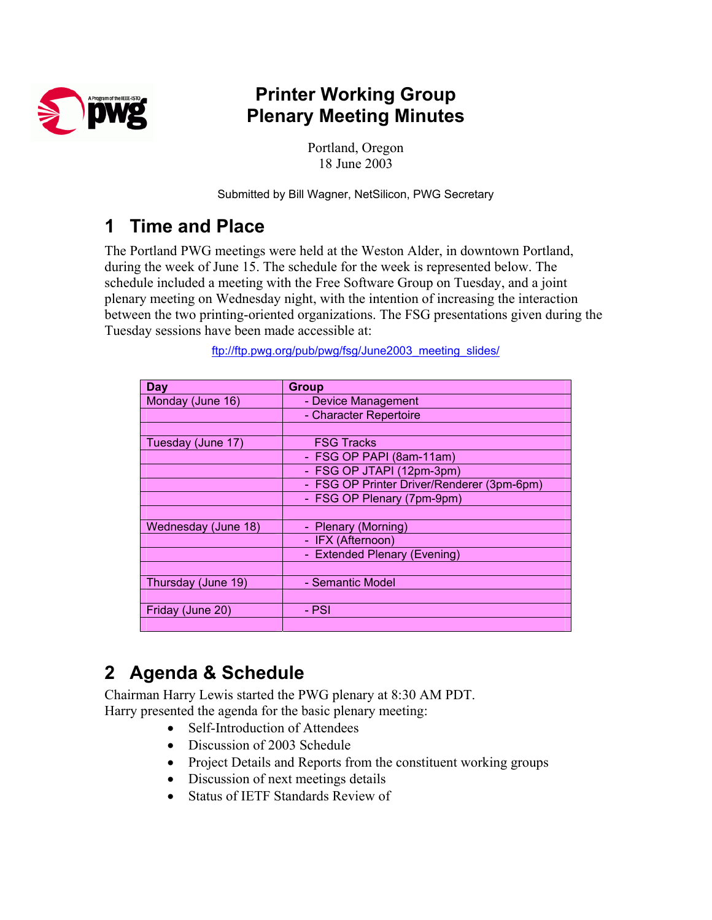

## **Printer Working Group Plenary Meeting Minutes**

Portland, Oregon 18 June 2003

Submitted by Bill Wagner, NetSilicon, PWG Secretary

## **1 Time and Place**

The Portland PWG meetings were held at the Weston Alder, in downtown Portland, during the week of June 15. The schedule for the week is represented below. The schedule included a meeting with the Free Software Group on Tuesday, and a joint plenary meeting on Wednesday night, with the intention of increasing the interaction between the two printing-oriented organizations. The FSG presentations given during the Tuesday sessions have been made accessible at:

| Day                 | Group                                      |  |
|---------------------|--------------------------------------------|--|
| Monday (June 16)    | - Device Management                        |  |
|                     | - Character Repertoire                     |  |
|                     |                                            |  |
| Tuesday (June 17)   | <b>FSG Tracks</b>                          |  |
|                     | - FSG OP PAPI (8am-11am)                   |  |
|                     | - FSG OP JTAPI (12pm-3pm)                  |  |
|                     | - FSG OP Printer Driver/Renderer (3pm-6pm) |  |
|                     | - FSG OP Plenary (7pm-9pm)                 |  |
|                     |                                            |  |
| Wednesday (June 18) | - Plenary (Morning)                        |  |
|                     | - IFX (Afternoon)                          |  |
|                     | - Extended Plenary (Evening)               |  |
|                     |                                            |  |
| Thursday (June 19)  | - Semantic Model                           |  |
|                     |                                            |  |
| Friday (June 20)    | - PSI                                      |  |
|                     |                                            |  |

ftp://ftp.pwg.org/pub/pwg/fsg/June2003\_meeting\_slides/

# **2 Agenda & Schedule**

Chairman Harry Lewis started the PWG plenary at 8:30 AM PDT. Harry presented the agenda for the basic plenary meeting:

- Self-Introduction of Attendees
- Discussion of 2003 Schedule
- Project Details and Reports from the constituent working groups
- Discussion of next meetings details
- Status of IETF Standards Review of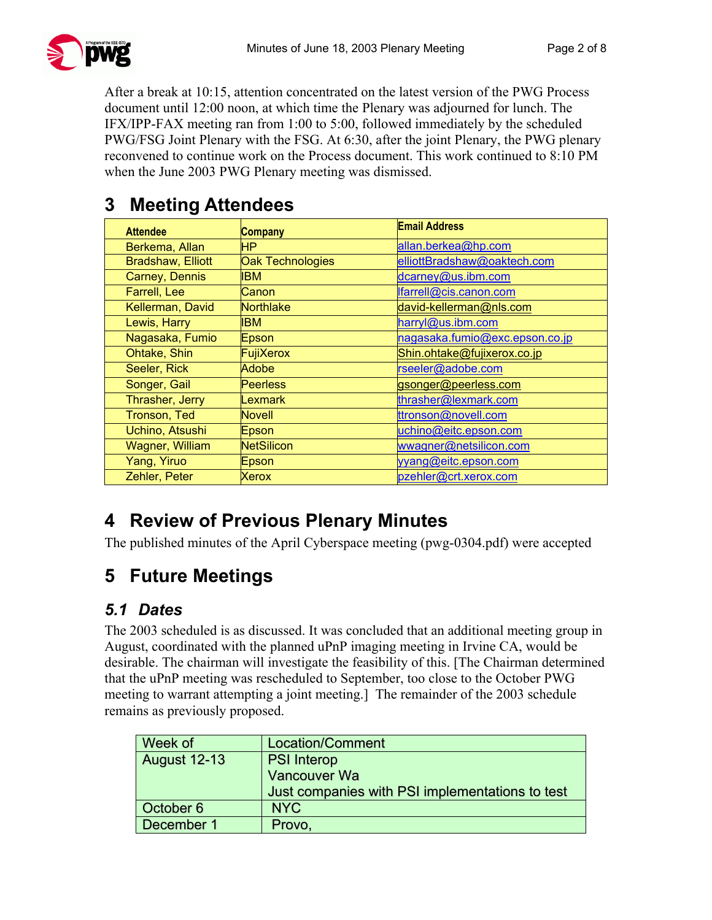

After a break at 10:15, attention concentrated on the latest version of the PWG Process document until 12:00 noon, at which time the Plenary was adjourned for lunch. The IFX/IPP-FAX meeting ran from 1:00 to 5:00, followed immediately by the scheduled PWG/FSG Joint Plenary with the FSG. At 6:30, after the joint Plenary, the PWG plenary reconvened to continue work on the Process document. This work continued to 8:10 PM when the June 2003 PWG Plenary meeting was dismissed.

# **3 Meeting Attendees**

| <b>Attendee</b>          | <b>Company</b>    | <b>Email Address</b>           |
|--------------------------|-------------------|--------------------------------|
| Berkema, Allan           | HP.               | allan.berkea@hp.com            |
| <b>Bradshaw, Elliott</b> | Oak Technologies  | elliottBradshaw@oaktech.com    |
| Carney, Dennis           | IBM.              | dcarney@us.ibm.com             |
| Farrell, Lee             | Canon             | lfarrell@cis.canon.com         |
| Kellerman, David         | <b>Northlake</b>  | david-kellerman@nls.com        |
| Lewis, Harry             | IBM.              | harryl@us.ibm.com              |
| Nagasaka, Fumio          | Epson             | nagasaka.fumio@exc.epson.co.jp |
| Ohtake, Shin             | FujiXerox         | Shin.ohtake@fujixerox.co.jp    |
| Seeler, Rick             | Adobe             | rseeler@adobe.com              |
| Songer, Gail             | <b>Peerless</b>   | gsonger@peerless.com           |
| Thrasher, Jerry          | Lexmark           | thrasher@lexmark.com           |
| Tronson, Ted             | Novell            | ttronson@novell.com            |
| Uchino, Atsushi          | Epson             | uchino@eitc.epson.com          |
| Wagner, William          | <b>NetSilicon</b> | wwagner@netsilicon.com         |
| Yang, Yiruo              | Epson             | yyang@eitc.epson.com           |
| Zehler, Peter            | Xerox             | pzehler@crt.xerox.com          |

# **4 Review of Previous Plenary Minutes**

The published minutes of the April Cyberspace meeting (pwg-0304.pdf) were accepted

## **5 Future Meetings**

## *5.1 Dates*

The 2003 scheduled is as discussed. It was concluded that an additional meeting group in August, coordinated with the planned uPnP imaging meeting in Irvine CA, would be desirable. The chairman will investigate the feasibility of this. [The Chairman determined that the uPnP meeting was rescheduled to September, too close to the October PWG meeting to warrant attempting a joint meeting.] The remainder of the 2003 schedule remains as previously proposed.

| Week of             | Location/Comment                                |  |
|---------------------|-------------------------------------------------|--|
| <b>August 12-13</b> | <b>PSI</b> Interop                              |  |
|                     | <b>Vancouver Wa</b>                             |  |
|                     | Just companies with PSI implementations to test |  |
| October 6           | <b>NYC</b>                                      |  |
| December 1          | Provo,                                          |  |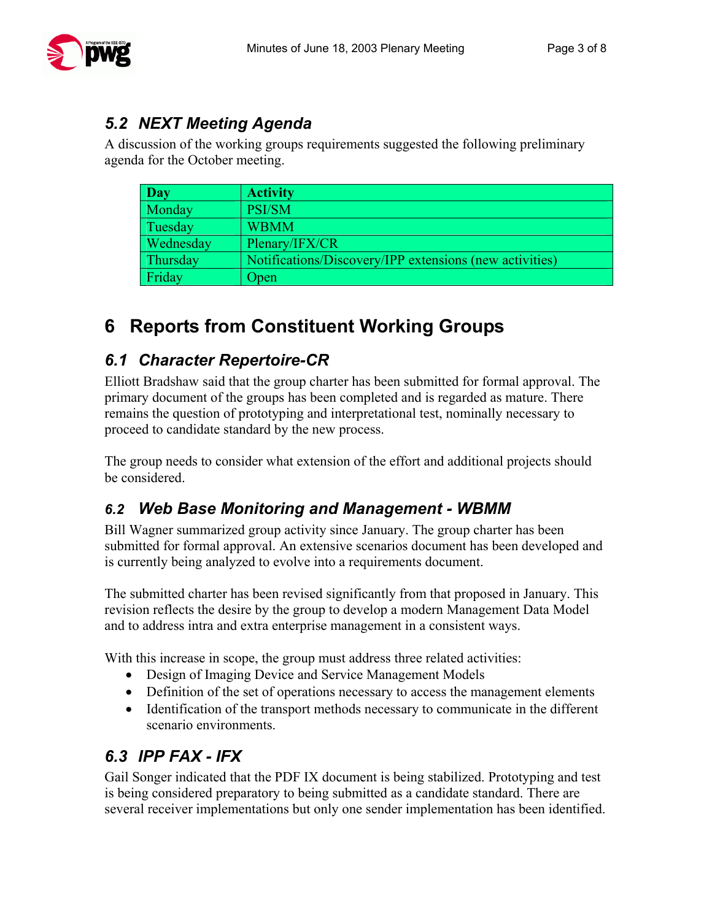

## *5.2 NEXT Meeting Agenda*

A discussion of the working groups requirements suggested the following preliminary agenda for the October meeting.

| <b>Day</b> | <b>Activity</b>                                         |
|------------|---------------------------------------------------------|
| Monday     | <b>PSI/SM</b>                                           |
| Tuesday    | <b>WBMM</b>                                             |
| Wednesday  | Plenary/IFX/CR                                          |
| Thursday   | Notifications/Discovery/IPP extensions (new activities) |
| Friday     | <b>Open</b>                                             |

## **6 Reports from Constituent Working Groups**

### *6.1 Character Repertoire-CR*

Elliott Bradshaw said that the group charter has been submitted for formal approval. The primary document of the groups has been completed and is regarded as mature. There remains the question of prototyping and interpretational test, nominally necessary to proceed to candidate standard by the new process.

The group needs to consider what extension of the effort and additional projects should be considered.

## *6.2 Web Base Monitoring and Management - WBMM*

Bill Wagner summarized group activity since January. The group charter has been submitted for formal approval. An extensive scenarios document has been developed and is currently being analyzed to evolve into a requirements document.

The submitted charter has been revised significantly from that proposed in January. This revision reflects the desire by the group to develop a modern Management Data Model and to address intra and extra enterprise management in a consistent ways.

With this increase in scope, the group must address three related activities:

- Design of Imaging Device and Service Management Models
- Definition of the set of operations necessary to access the management elements
- Identification of the transport methods necessary to communicate in the different scenario environments.

### *6.3 IPP FAX - IFX*

Gail Songer indicated that the PDF IX document is being stabilized. Prototyping and test is being considered preparatory to being submitted as a candidate standard. There are several receiver implementations but only one sender implementation has been identified.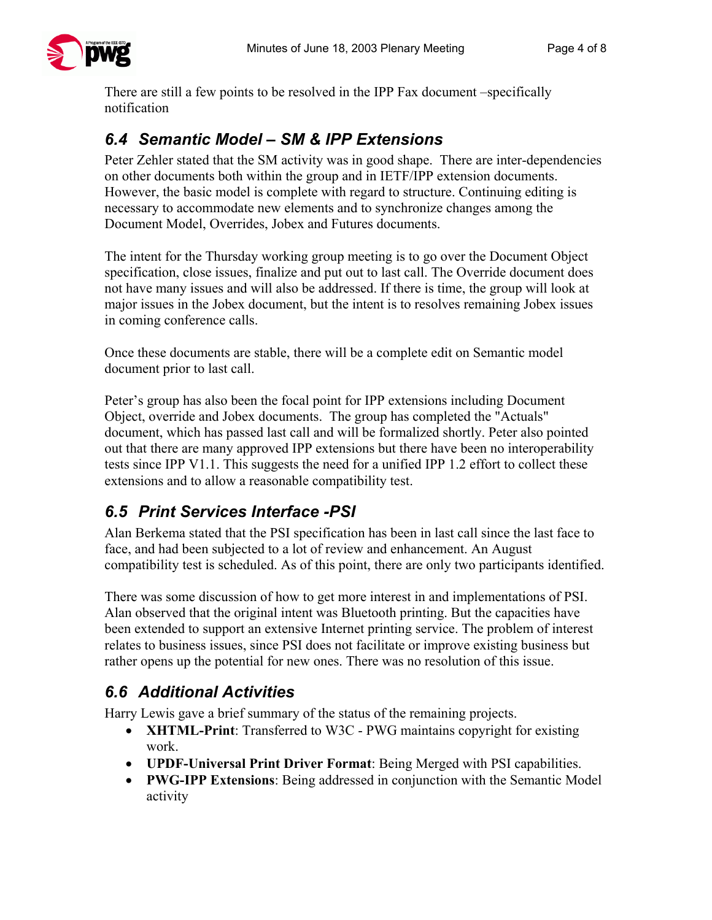

There are still a few points to be resolved in the IPP Fax document –specifically notification

## *6.4 Semantic Model – SM & IPP Extensions*

Peter Zehler stated that the SM activity was in good shape. There are inter-dependencies on other documents both within the group and in IETF/IPP extension documents. However, the basic model is complete with regard to structure. Continuing editing is necessary to accommodate new elements and to synchronize changes among the Document Model, Overrides, Jobex and Futures documents.

The intent for the Thursday working group meeting is to go over the Document Object specification, close issues, finalize and put out to last call. The Override document does not have many issues and will also be addressed. If there is time, the group will look at major issues in the Jobex document, but the intent is to resolves remaining Jobex issues in coming conference calls.

Once these documents are stable, there will be a complete edit on Semantic model document prior to last call.

Peter's group has also been the focal point for IPP extensions including Document Object, override and Jobex documents. The group has completed the "Actuals" document, which has passed last call and will be formalized shortly. Peter also pointed out that there are many approved IPP extensions but there have been no interoperability tests since IPP V1.1. This suggests the need for a unified IPP 1.2 effort to collect these extensions and to allow a reasonable compatibility test.

## *6.5 Print Services Interface -PSI*

Alan Berkema stated that the PSI specification has been in last call since the last face to face, and had been subjected to a lot of review and enhancement. An August compatibility test is scheduled. As of this point, there are only two participants identified.

There was some discussion of how to get more interest in and implementations of PSI. Alan observed that the original intent was Bluetooth printing. But the capacities have been extended to support an extensive Internet printing service. The problem of interest relates to business issues, since PSI does not facilitate or improve existing business but rather opens up the potential for new ones. There was no resolution of this issue.

## *6.6 Additional Activities*

Harry Lewis gave a brief summary of the status of the remaining projects.

- **XHTML-Print**: Transferred to W3C PWG maintains copyright for existing work.
- **UPDF-Universal Print Driver Format**: Being Merged with PSI capabilities.
- **PWG-IPP Extensions**: Being addressed in conjunction with the Semantic Model activity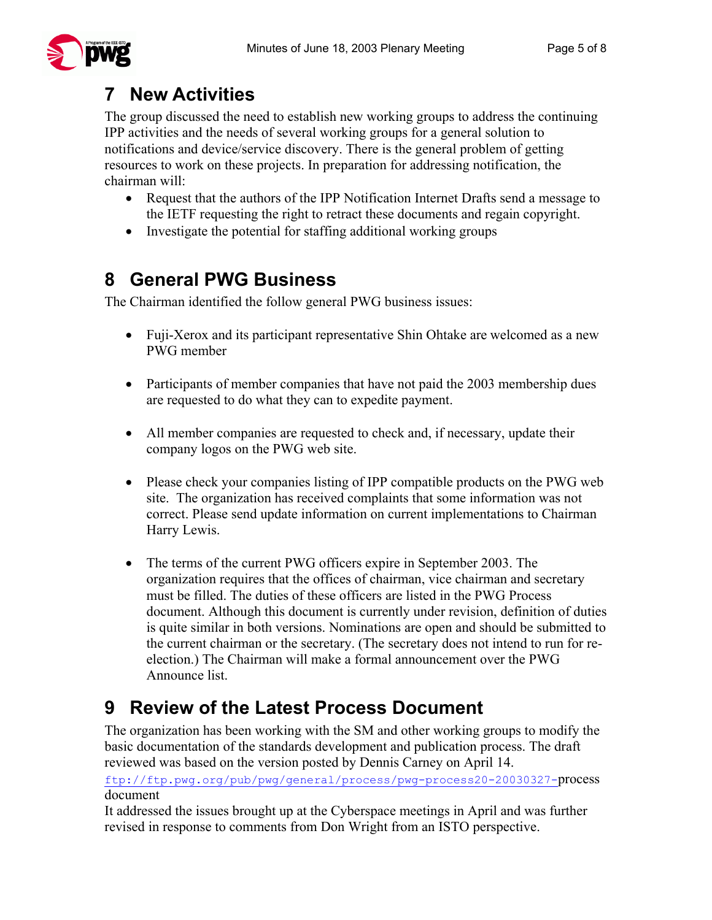# **7 New Activities**

The group discussed the need to establish new working groups to address the continuing IPP activities and the needs of several working groups for a general solution to notifications and device/service discovery. There is the general problem of getting resources to work on these projects. In preparation for addressing notification, the chairman will:

- Request that the authors of the IPP Notification Internet Drafts send a message to the IETF requesting the right to retract these documents and regain copyright.
- Investigate the potential for staffing additional working groups

# **8 General PWG Business**

The Chairman identified the follow general PWG business issues:

- Fuji-Xerox and its participant representative Shin Ohtake are welcomed as a new PWG member
- Participants of member companies that have not paid the 2003 membership dues are requested to do what they can to expedite payment.
- All member companies are requested to check and, if necessary, update their company logos on the PWG web site.
- Please check your companies listing of IPP compatible products on the PWG web site. The organization has received complaints that some information was not correct. Please send update information on current implementations to Chairman Harry Lewis.
- The terms of the current PWG officers expire in September 2003. The organization requires that the offices of chairman, vice chairman and secretary must be filled. The duties of these officers are listed in the PWG Process document. Although this document is currently under revision, definition of duties is quite similar in both versions. Nominations are open and should be submitted to the current chairman or the secretary. (The secretary does not intend to run for reelection.) The Chairman will make a formal announcement over the PWG Announce list.

# **9 Review of the Latest Process Document**

The organization has been working with the SM and other working groups to modify the basic documentation of the standards development and publication process. The draft reviewed was based on the version posted by Dennis Carney on April 14.

ftp://ftp.pwg.org/pub/pwg/general/process/pwg-process20-20030327-process document

It addressed the issues brought up at the Cyberspace meetings in April and was further revised in response to comments from Don Wright from an ISTO perspective.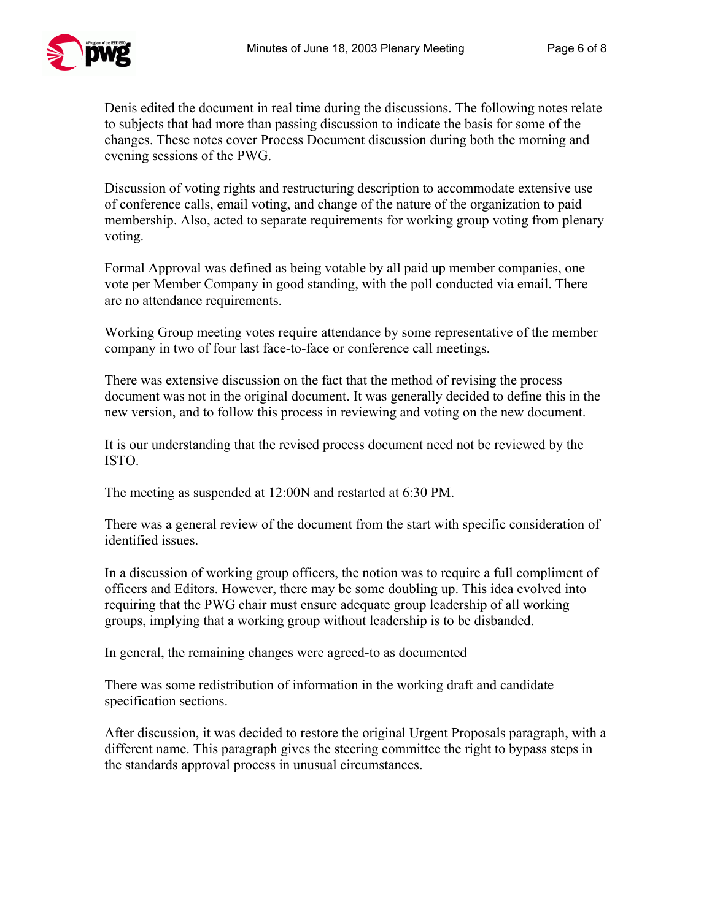

Denis edited the document in real time during the discussions. The following notes relate to subjects that had more than passing discussion to indicate the basis for some of the changes. These notes cover Process Document discussion during both the morning and evening sessions of the PWG.

Discussion of voting rights and restructuring description to accommodate extensive use of conference calls, email voting, and change of the nature of the organization to paid membership. Also, acted to separate requirements for working group voting from plenary voting.

Formal Approval was defined as being votable by all paid up member companies, one vote per Member Company in good standing, with the poll conducted via email. There are no attendance requirements.

Working Group meeting votes require attendance by some representative of the member company in two of four last face-to-face or conference call meetings.

There was extensive discussion on the fact that the method of revising the process document was not in the original document. It was generally decided to define this in the new version, and to follow this process in reviewing and voting on the new document.

It is our understanding that the revised process document need not be reviewed by the ISTO.

The meeting as suspended at 12:00N and restarted at 6:30 PM.

There was a general review of the document from the start with specific consideration of identified issues.

In a discussion of working group officers, the notion was to require a full compliment of officers and Editors. However, there may be some doubling up. This idea evolved into requiring that the PWG chair must ensure adequate group leadership of all working groups, implying that a working group without leadership is to be disbanded.

In general, the remaining changes were agreed-to as documented

There was some redistribution of information in the working draft and candidate specification sections.

After discussion, it was decided to restore the original Urgent Proposals paragraph, with a different name. This paragraph gives the steering committee the right to bypass steps in the standards approval process in unusual circumstances.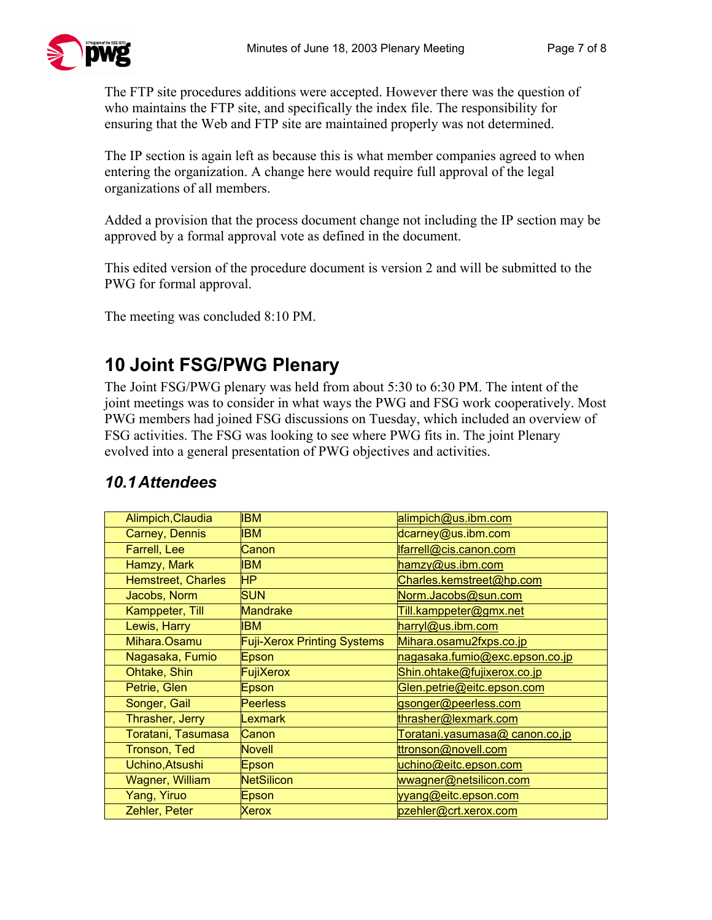

The FTP site procedures additions were accepted. However there was the question of who maintains the FTP site, and specifically the index file. The responsibility for ensuring that the Web and FTP site are maintained properly was not determined.

The IP section is again left as because this is what member companies agreed to when entering the organization. A change here would require full approval of the legal organizations of all members.

Added a provision that the process document change not including the IP section may be approved by a formal approval vote as defined in the document.

This edited version of the procedure document is version 2 and will be submitted to the PWG for formal approval.

The meeting was concluded 8:10 PM.

# **10 Joint FSG/PWG Plenary**

The Joint FSG/PWG plenary was held from about 5:30 to 6:30 PM. The intent of the joint meetings was to consider in what ways the PWG and FSG work cooperatively. Most PWG members had joined FSG discussions on Tuesday, which included an overview of FSG activities. The FSG was looking to see where PWG fits in. The joint Plenary evolved into a general presentation of PWG objectives and activities.

| Alimpich, Claudia         | IBM                                | alimpich@us.ibm.com            |
|---------------------------|------------------------------------|--------------------------------|
| Carney, Dennis            | IBM                                | dcarney@us.ibm.com             |
| Farrell, Lee              | Canon                              | lfarrell@cis.canon.com         |
| Hamzy, Mark               | <b>IBM</b>                         | hamzy@us.ibm.com               |
| <b>Hemstreet, Charles</b> | HP                                 | Charles.kemstreet@hp.com       |
| Jacobs, Norm              | <b>SUN</b>                         | Norm.Jacobs@sun.com            |
| Kamppeter, Till           | <b>Mandrake</b>                    | Till.kamppeter@gmx.net         |
| Lewis, Harry              | IBM                                | harryl@us.ibm.com              |
| Mihara.Osamu              | <b>Fuji-Xerox Printing Systems</b> | Mihara.osamu2fxps.co.jp        |
| Nagasaka, Fumio           | Epson                              | nagasaka.fumio@exc.epson.co.jp |
| Ohtake, Shin              | FujiXerox                          | Shin.ohtake@fujixerox.co.jp    |
| Petrie, Glen              | Epson                              | Glen.petrie@eitc.epson.com     |
| Songer, Gail              | <b>Peerless</b>                    | gsonger@peerless.com           |
| Thrasher, Jerry           | Lexmark                            | thrasher@lexmark.com           |
| Toratani, Tasumasa        | Canon                              | Toratani.yasumasa@ canon.co,jp |
| <b>Tronson, Ted</b>       | Novell                             | ttronson@novell.com            |
| Uchino, Atsushi           | Epson                              | uchino@eitc.epson.com          |
| Wagner, William           | <b>NetSilicon</b>                  | wwagner@netsilicon.com         |
| Yang, Yiruo               | Epson                              | vyang@eitc.epson.com           |
| Zehler, Peter             | Xerox                              | pzehler@crt.xerox.com          |
|                           |                                    |                                |

#### *10.1 Attendees*